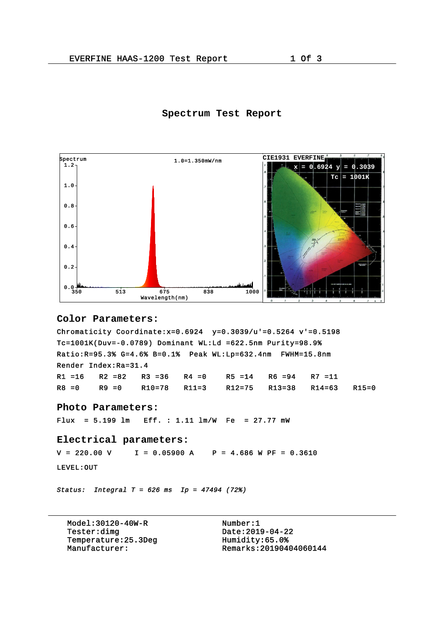## **Spectrum Test Report**



```
Color Parameters:
```

```
Chromaticity Coordinate: x=0.6924 y=0.3039/u'=0.5264 v'=0.5198Tc=1001K(Duv=-0.0789) Dominant WL:Ld =622.5nm Purity=98.9%
Ratio:R=95.3% G=4.6% B=0.1% Peak WL:Lp=632.4nm FWHM=15.8nm
Render Index:Ra=31.4
R1 =16 R2 =82 R3 =36 R4 =0 R5 =14 R6 =94 R7 =11
R8 =0 R9 =0 R10=78 R11=3 R12=75 R13=38 R14=63 R15=0
Photo Parameters:
Flux = 5.199 lm Eff. : 1.11 lm/W Fe = 27.77 mW
Electrical parameters:
V = 220.00 \text{ V} I = 0.05900 \text{ A} P = 4.686 \text{ W PF} = 0.3610LEVEL:OUT 
Status: Integral T = 626 ms Ip = 47494 (72%)
```
Model:30120-40W-R Number:1 Tester:dimg<br>
Temperature:25.3Deq<br>
Humidity:65.0% Temperature:25.3Deg<br>Manufacturer:

Manufacturer: Remarks:20190404060144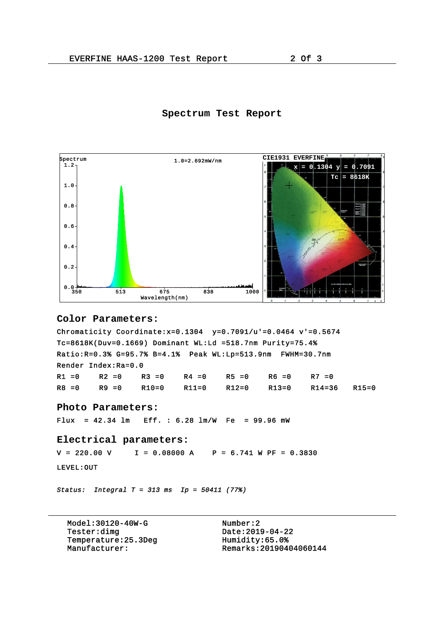## **Spectrum Test Report**



```
Color Parameters:
```

```
Chromaticity Coordinate: x=0.1304 y=0.7091/u'=0.0464 v'=0.5674Tc=8618K(Duv=0.1669) Dominant WL:Ld =518.7nm Purity=75.4%
Ratio:R=0.3% G=95.7% B=4.1% Peak WL:Lp=513.9nm FWHM=30.7nm
Render Index:Ra=0.0
R1 =0 R2 =0 R3 =0 R4 =0 R5 =0 R6 =0 R7 =0
R8 =0 R9 =0 R10=0 R11=0 R12=0 R13=0 R14=36 R15=0
Photo Parameters:
Flux = 42.34 lm Eff. : 6.28 lm/W Fe = 99.96 mW
Electrical parameters:
V = 220.00 \text{ V}   I = 0.08000 \text{ A}   P = 6.741 \text{ W PF} = 0.3830LEVEL:OUT 
Status: Integral T = 313 ms Ip = 50411 (77%)
```
Model:30120-40W-G<br>Tester:dimq Date:201 Temperature: 25.3Deg<br>Manufacturer:

 $Date:2019-04-22$ <br>Humidity:65.0% Manufacturer: Remarks:20190404060144